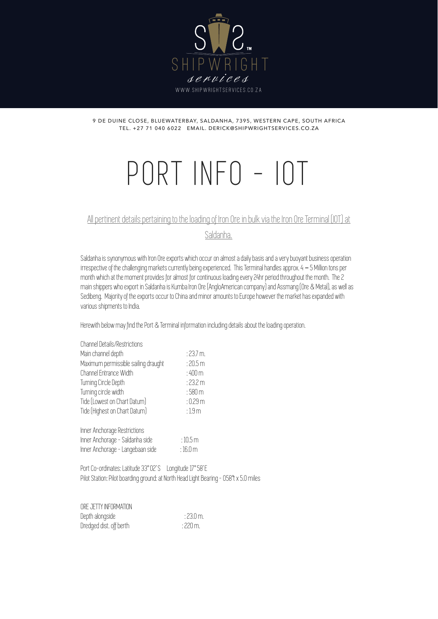

9 DE DUINE CLOSE, BLUEWATERBAY, SALDANHA, 7395, WESTERN CAPE, SOUTH AFRICA TEL. +27 71 040 6022 EMAIL. DERICK@SHIPWRIGHTSERVICES.CO.ZA

# PORT INFO - IOT

# All pertinent details pertaining to the loading of Iron Ore in bulk via the Iron Ore Terminal (IOT) at

Saldanha.

Saldanha is synonymous with Iron Ore exports which occur on almost a daily basis and a very buoyant business operation irrespective of the challenging markets currently being experienced. This Terminal handles approx. 4 – 5 Million tons per month which at the moment provides for almost for continuous loading every 24hr period throughout the month. The 2 main shippers who export in Saldanha is Kumba Iron Ore (AngloAmerican company) and Assmang (Ore & Metal), as well as Sedibeng. Majority of the exports occur to China and minor amounts to Europe however the market has expanded with various shipments to India.

Herewith below may find the Port & Terminal information including details about the loading operation.

| :23.7 m.            |
|---------------------|
| :20.5 m             |
| $:400\,\mathrm{m}$  |
| :23.2 m             |
| $:580\,\mathrm{m}$  |
| :0.29 m             |
| :1.9 <sub>m</sub>   |
|                     |
| :10.5 m             |
| $:16.0\,\mathrm{m}$ |
|                     |

Port Co-ordinates: Latitude 33° 02' S Longitude 17° 58' E Pilot Station: Pilot boarding ground: at North Head Light Bearing - 058°t x 5.0 miles

ORE JETTY INFORMATION Depth alongside : 23.0 m. Dredged dist. off berth : 220 m.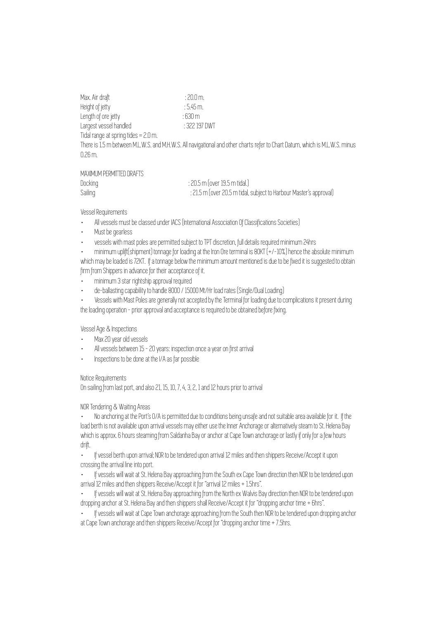Max. Air draft : 20.0 m. Height of jetty<br>
Length of ore jetty<br>
: 630 m Length of ore jetty : 630 m Largest vessel handled : 322 197 DWT Tidal range at spring tides = 2.0 m.

There is 1.5 m between M.L.W.S. and M.H.W.S. All navigational and other charts refer to Chart Datum, which is M.L.W.S. minus 0.26 m.

### MAXIMUM PERMITTED DRAFTS

| Docking | $: 20.5 \text{ m}$ (over 19.5 m tidal.)                            |
|---------|--------------------------------------------------------------------|
| Sailing | : 21.5 m (over 20.5 m tidal, subject to Harbour Master's approval) |

### Vessel Requirements

- · All vessels must be classed under IACS (International Association Of Classifications Societies)
- · Must be gearless
- · vessels with mast poles are permitted subject to TPT discretion, full details required minimum 24hrs

· minimum uplift(shipment) tonnage for loading at the Iron Ore terminal is 80KT (+/-10%) hence the absolute minimum which may be loaded is 72KT. If a tonnage below the minimum amount mentioned is due to be fixed it is suggested to obtain firm from Shippers in advance for their acceptance of it.

- · minimum 3 star rightship approval required
- · de-ballasting capability to handle 8000 / 15000 Mt/Hr load rates (Single/Dual Loading)
- · Vessels with Mast Poles are generally not accepted by the Terminal for loading due to complications it present during the loading operation - prior approval and acceptance is required to be obtained before fixing.

# Vessel Age & Inspections

- Max 20 year old vessels
- All vessels between 15 20 years: inspection once a year on first arrival
- · Inspections to be done at the I/A as far possible

# Notice Requirements

On sailing from last port, and also 21, 15, 10, 7, 4, 3, 2, 1 and 12 hours prior to arrival

NOR Tendering & Waiting Areas

· No anchoring at the Port's O/A is permitted due to conditions being unsafe and not suitable area available for it. If the load berth is not available upon arrival vessels may either use the Inner Anchorage or alternatively steam to St. Helena Bay which is approx. 6 hours steaming from Saldanha Bay or anchor at Cape Town anchorage or lastly if only for a few hours drift.

· If vessel berth upon arrival; NOR to be tendered upon arrival 12 miles and then shippers Receive/Accept it upon crossing the arrival line into port.

If vessels will wait at St. Helena Bay approaching from the South ex Cape Town direction then NOR to be tendered upon arrival 12 miles and then shippers Receive/Accept it for "arrival 12 miles + 1.5hrs".

If vessels will wait at St. Helena Bay approaching from the North ex Walvis Bay direction then NOR to be tendered upon dropping anchor at St. Helena Bay and then shippers shall Receive/Accept it for "dropping anchor time + 6hrs".

· If vessels will wait at Cape Town anchorage approaching from the South then NOR to be tendered upon dropping anchor at Cape Town anchorage and then shippers Receive/Accept for "dropping anchor time + 7.5hrs.